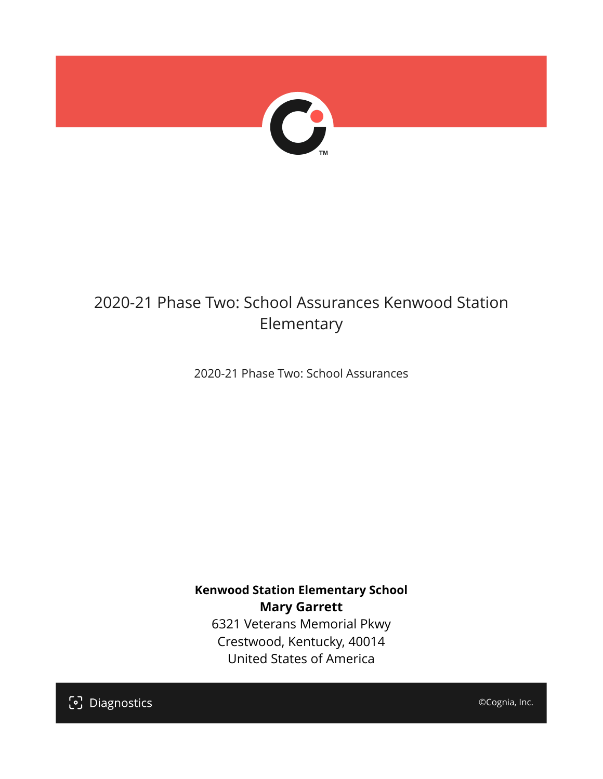

## 2020-21 Phase Two: School Assurances Kenwood Station Elementary

2020-21 Phase Two: School Assurances

**Kenwood Station Elementary School Mary Garrett** 6321 Veterans Memorial Pkwy Crestwood, Kentucky, 40014 United States of America

[၁] Diagnostics

©Cognia, Inc.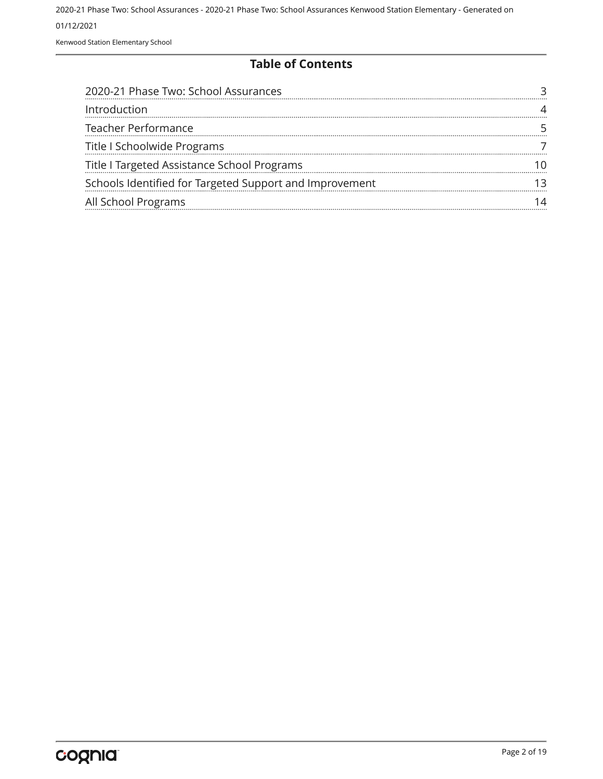Kenwood Station Elementary School

#### **Table of Contents**

| 2020-21 Phase Two: School Assurances                    |  |
|---------------------------------------------------------|--|
| Introduction                                            |  |
| Teacher Performance                                     |  |
| Title I Schoolwide Programs                             |  |
| Title I Targeted Assistance School Programs             |  |
| Schools Identified for Targeted Support and Improvement |  |
| All School Programs                                     |  |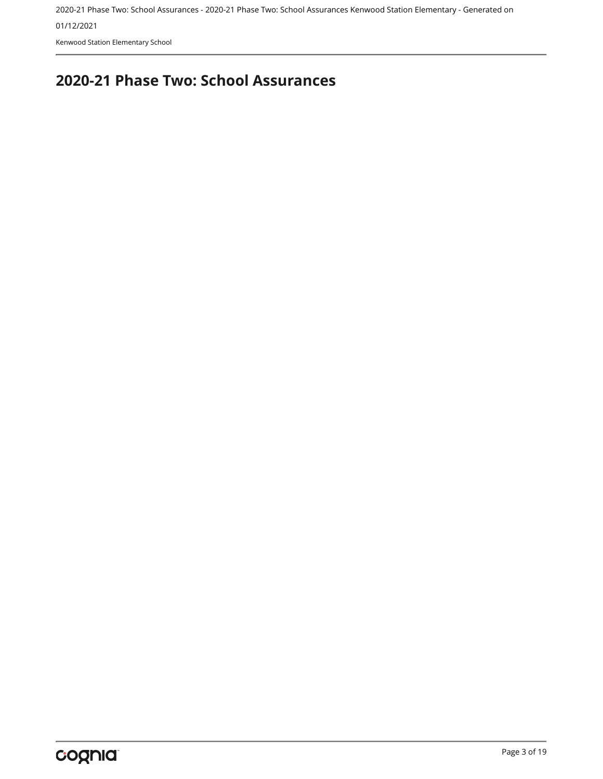01/12/2021

Kenwood Station Elementary School

## <span id="page-2-0"></span>**2020-21 Phase Two: School Assurances**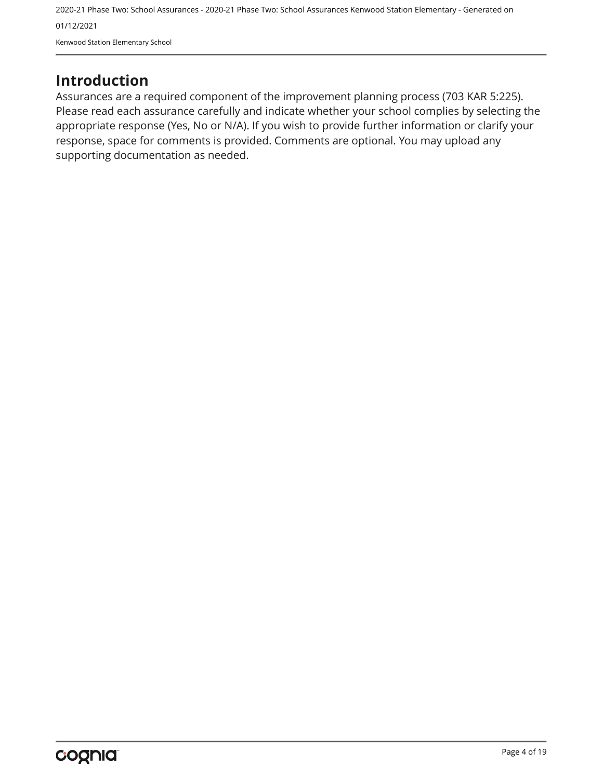### <span id="page-3-0"></span>**Introduction**

Assurances are a required component of the improvement planning process (703 KAR 5:225). Please read each assurance carefully and indicate whether your school complies by selecting the appropriate response (Yes, No or N/A). If you wish to provide further information or clarify your response, space for comments is provided. Comments are optional. You may upload any supporting documentation as needed.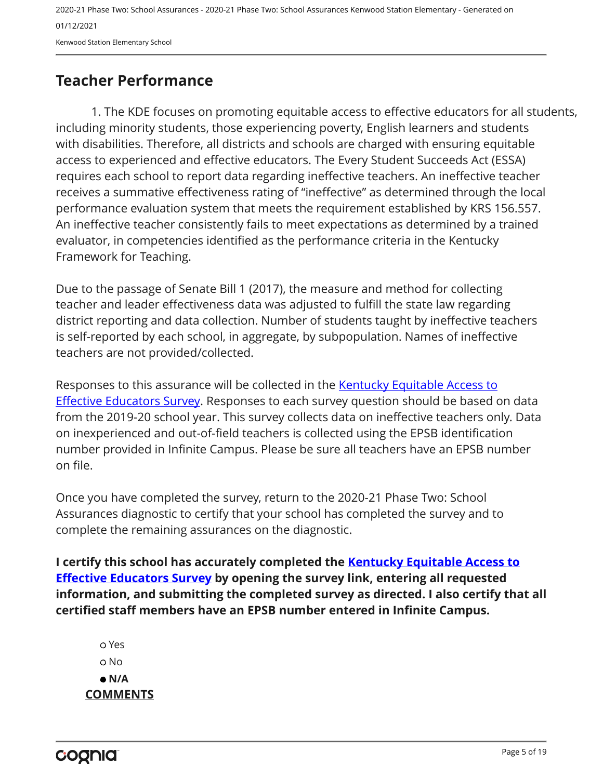Kenwood Station Elementary School

## <span id="page-4-0"></span>**Teacher Performance**

1. The KDE focuses on promoting equitable access to effective educators for all students, including minority students, those experiencing poverty, English learners and students with disabilities. Therefore, all districts and schools are charged with ensuring equitable access to experienced and effective educators. The Every Student Succeeds Act (ESSA) requires each school to report data regarding ineffective teachers. An ineffective teacher receives a summative effectiveness rating of "ineffective" as determined through the local performance evaluation system that meets the requirement established by KRS 156.557. An ineffective teacher consistently fails to meet expectations as determined by a trained evaluator, in competencies identified as the performance criteria in the Kentucky Framework for Teaching.

Due to the passage of Senate Bill 1 (2017), the measure and method for collecting teacher and leader effectiveness data was adjusted to fulfill the state law regarding district reporting and data collection. Number of students taught by ineffective teachers is self-reported by each school, in aggregate, by subpopulation. Names of ineffective teachers are not provided/collected.

Responses to this assurance will be collected in the [Kentucky Equitable Access to](https://www.surveymonkey.com/r/PNPMCCV) **[Effective Educators Survey](https://www.surveymonkey.com/r/PNPMCCV).** Responses to each survey question should be based on data from the 2019-20 school year. This survey collects data on ineffective teachers only. Data on inexperienced and out-of-field teachers is collected using the EPSB identification number provided in Infinite Campus. Please be sure all teachers have an EPSB number on file.

Once you have completed the survey, return to the 2020-21 Phase Two: School Assurances diagnostic to certify that your school has completed the survey and to complete the remaining assurances on the diagnostic.

**I certify this school has accurately completed the [Kentucky Equitable Access to](https://www.surveymonkey.com/r/PNPMCCV) [Effective Educators Survey](https://www.surveymonkey.com/r/PNPMCCV) by opening the survey link, entering all requested information, and submitting the completed survey as directed. I also certify that all certified staff members have an EPSB number entered in Infinite Campus.**

 Yes No  **N/A COMMENTS**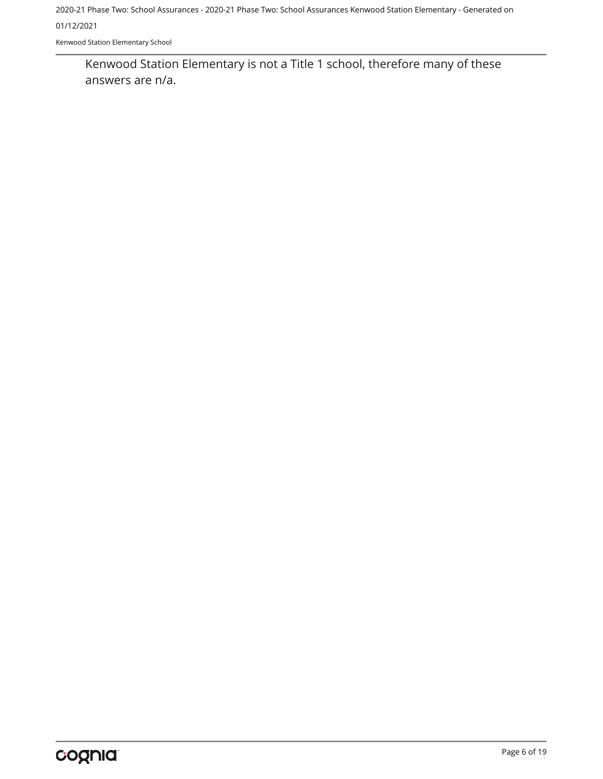Kenwood Station Elementary School

Kenwood Station Elementary is not a Title 1 school, therefore many of these answers are n/a.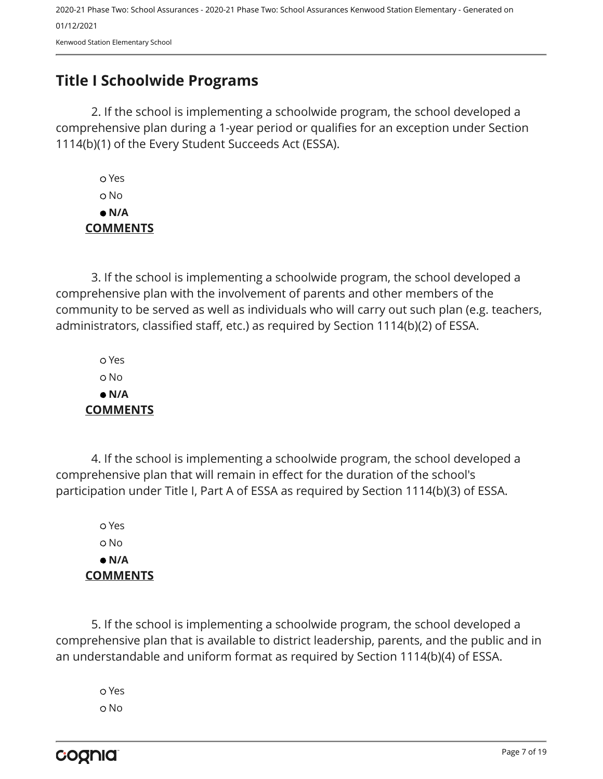## <span id="page-6-0"></span>**Title I Schoolwide Programs**

2. If the school is implementing a schoolwide program, the school developed a comprehensive plan during a 1-year period or qualifies for an exception under Section 1114(b)(1) of the Every Student Succeeds Act (ESSA).

 Yes o No  **N/A COMMENTS**

3. If the school is implementing a schoolwide program, the school developed a comprehensive plan with the involvement of parents and other members of the community to be served as well as individuals who will carry out such plan (e.g. teachers, administrators, classified staff, etc.) as required by Section 1114(b)(2) of ESSA.

 Yes No  **N/A COMMENTS**

4. If the school is implementing a schoolwide program, the school developed a comprehensive plan that will remain in effect for the duration of the school's participation under Title I, Part A of ESSA as required by Section 1114(b)(3) of ESSA.

 Yes No  **N/A COMMENTS**

5. If the school is implementing a schoolwide program, the school developed a comprehensive plan that is available to district leadership, parents, and the public and in an understandable and uniform format as required by Section 1114(b)(4) of ESSA.

 Yes o No

cognia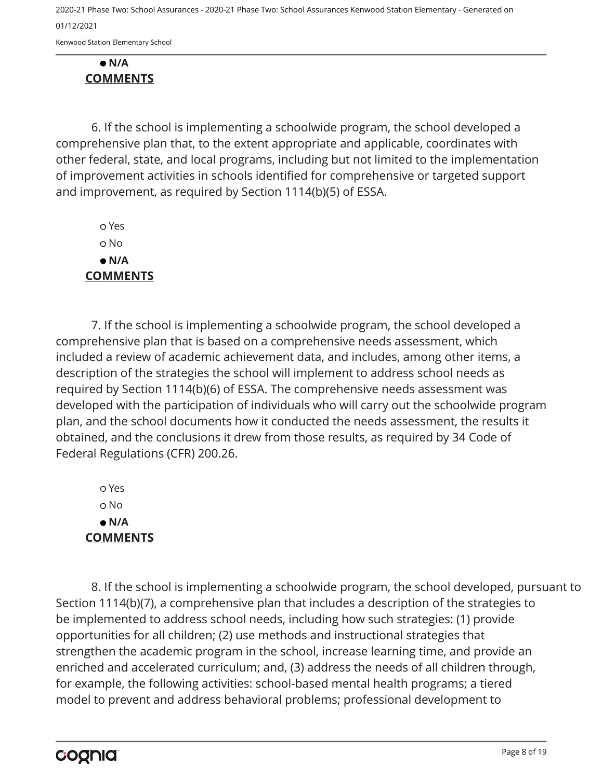Kenwood Station Elementary School

#### **N/A COMMENTS**

6. If the school is implementing a schoolwide program, the school developed a comprehensive plan that, to the extent appropriate and applicable, coordinates with other federal, state, and local programs, including but not limited to the implementation of improvement activities in schools identified for comprehensive or targeted support and improvement, as required by Section 1114(b)(5) of ESSA.

 Yes o No  **N/A COMMENTS**

7. If the school is implementing a schoolwide program, the school developed a comprehensive plan that is based on a comprehensive needs assessment, which included a review of academic achievement data, and includes, among other items, a description of the strategies the school will implement to address school needs as required by Section 1114(b)(6) of ESSA. The comprehensive needs assessment was developed with the participation of individuals who will carry out the schoolwide program plan, and the school documents how it conducted the needs assessment, the results it obtained, and the conclusions it drew from those results, as required by 34 Code of Federal Regulations (CFR) 200.26.

 Yes No  **N/A COMMENTS**

8. If the school is implementing a schoolwide program, the school developed, pursuant to Section 1114(b)(7), a comprehensive plan that includes a description of the strategies to be implemented to address school needs, including how such strategies: (1) provide opportunities for all children; (2) use methods and instructional strategies that strengthen the academic program in the school, increase learning time, and provide an enriched and accelerated curriculum; and, (3) address the needs of all children through, for example, the following activities: school-based mental health programs; a tiered model to prevent and address behavioral problems; professional development to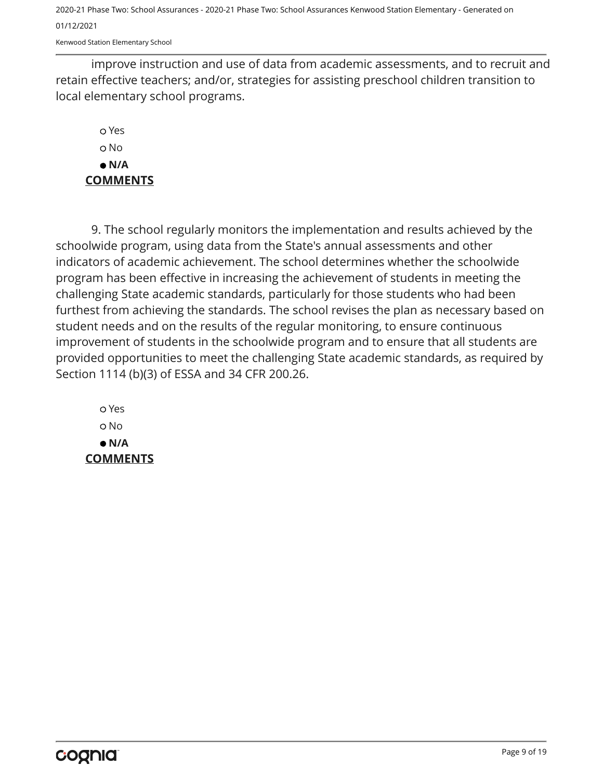Kenwood Station Elementary School

improve instruction and use of data from academic assessments, and to recruit and retain effective teachers; and/or, strategies for assisting preschool children transition to local elementary school programs.

#### Yes o No  **N/A COMMENTS**

9. The school regularly monitors the implementation and results achieved by the schoolwide program, using data from the State's annual assessments and other indicators of academic achievement. The school determines whether the schoolwide program has been effective in increasing the achievement of students in meeting the challenging State academic standards, particularly for those students who had been furthest from achieving the standards. The school revises the plan as necessary based on student needs and on the results of the regular monitoring, to ensure continuous improvement of students in the schoolwide program and to ensure that all students are provided opportunities to meet the challenging State academic standards, as required by Section 1114 (b)(3) of ESSA and 34 CFR 200.26.

 Yes o No  **N/A COMMENTS**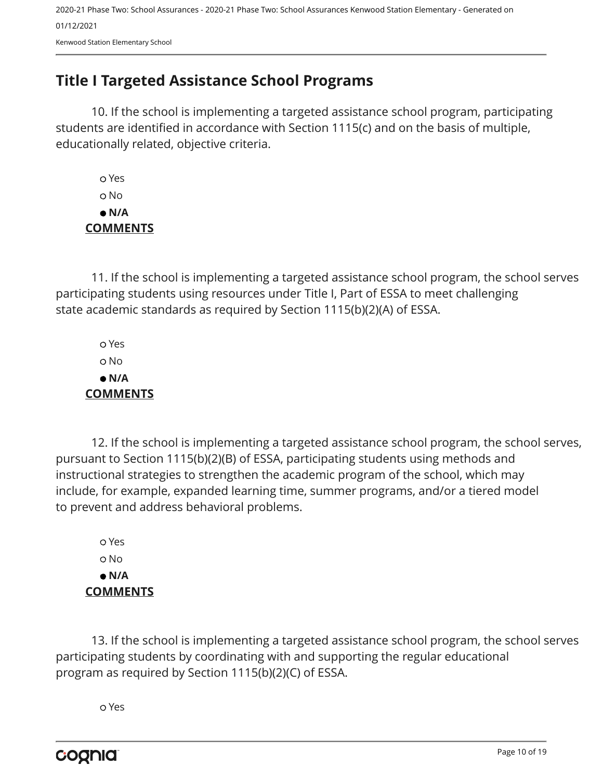## <span id="page-9-0"></span>**Title I Targeted Assistance School Programs**

10. If the school is implementing a targeted assistance school program, participating students are identified in accordance with Section 1115(c) and on the basis of multiple, educationally related, objective criteria.

 Yes o No  **N/A COMMENTS**

11. If the school is implementing a targeted assistance school program, the school serves participating students using resources under Title I, Part of ESSA to meet challenging state academic standards as required by Section 1115(b)(2)(A) of ESSA.

 Yes No  **N/A COMMENTS**

12. If the school is implementing a targeted assistance school program, the school serves, pursuant to Section 1115(b)(2)(B) of ESSA, participating students using methods and instructional strategies to strengthen the academic program of the school, which may include, for example, expanded learning time, summer programs, and/or a tiered model to prevent and address behavioral problems.

 Yes o No  **N/A COMMENTS**

13. If the school is implementing a targeted assistance school program, the school serves participating students by coordinating with and supporting the regular educational program as required by Section 1115(b)(2)(C) of ESSA.

Yes

cognia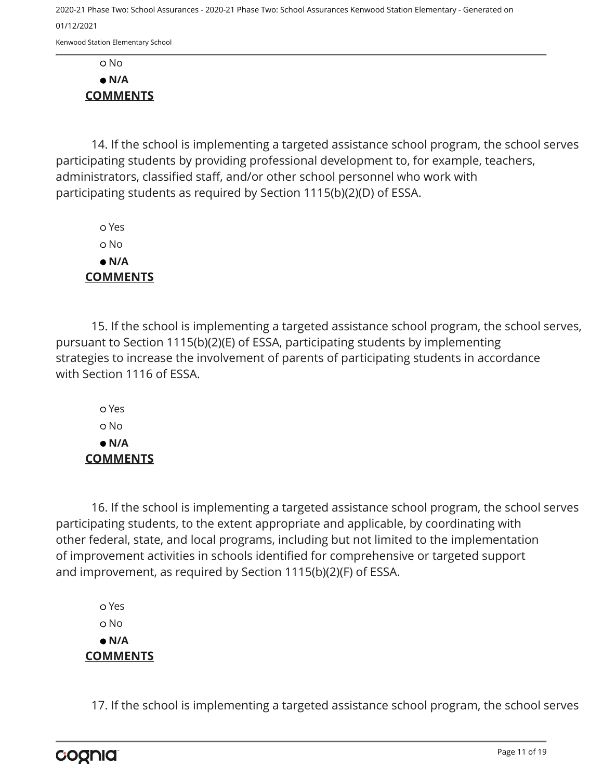Kenwood Station Elementary School

 No  **N/A COMMENTS**

14. If the school is implementing a targeted assistance school program, the school serves participating students by providing professional development to, for example, teachers, administrators, classified staff, and/or other school personnel who work with participating students as required by Section 1115(b)(2)(D) of ESSA.

 Yes o No  **N/A COMMENTS**

15. If the school is implementing a targeted assistance school program, the school serves, pursuant to Section 1115(b)(2)(E) of ESSA, participating students by implementing strategies to increase the involvement of parents of participating students in accordance with Section 1116 of ESSA.

 Yes o No  **N/A COMMENTS**

16. If the school is implementing a targeted assistance school program, the school serves participating students, to the extent appropriate and applicable, by coordinating with other federal, state, and local programs, including but not limited to the implementation of improvement activities in schools identified for comprehensive or targeted support and improvement, as required by Section 1115(b)(2)(F) of ESSA.

 Yes o No  **N/A COMMENTS**

17. If the school is implementing a targeted assistance school program, the school serves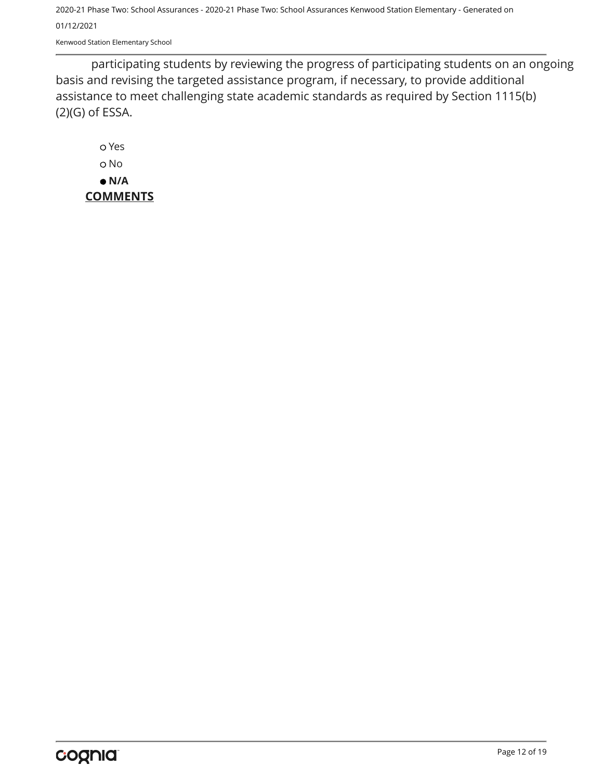Kenwood Station Elementary School

participating students by reviewing the progress of participating students on an ongoing basis and revising the targeted assistance program, if necessary, to provide additional assistance to meet challenging state academic standards as required by Section 1115(b) (2)(G) of ESSA.

 Yes o No  **N/A COMMENTS**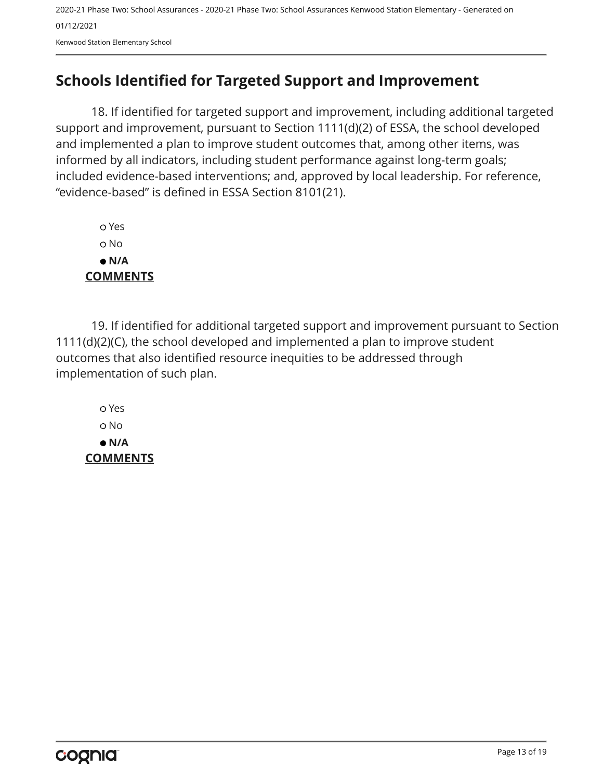## <span id="page-12-0"></span>**Schools Identified for Targeted Support and Improvement**

18. If identified for targeted support and improvement, including additional targeted support and improvement, pursuant to Section 1111(d)(2) of ESSA, the school developed and implemented a plan to improve student outcomes that, among other items, was informed by all indicators, including student performance against long-term goals; included evidence-based interventions; and, approved by local leadership. For reference, "evidence-based" is defined in ESSA Section 8101(21).

 Yes No  **N/A COMMENTS**

19. If identified for additional targeted support and improvement pursuant to Section 1111(d)(2)(C), the school developed and implemented a plan to improve student outcomes that also identified resource inequities to be addressed through implementation of such plan.

 Yes No  **N/A COMMENTS**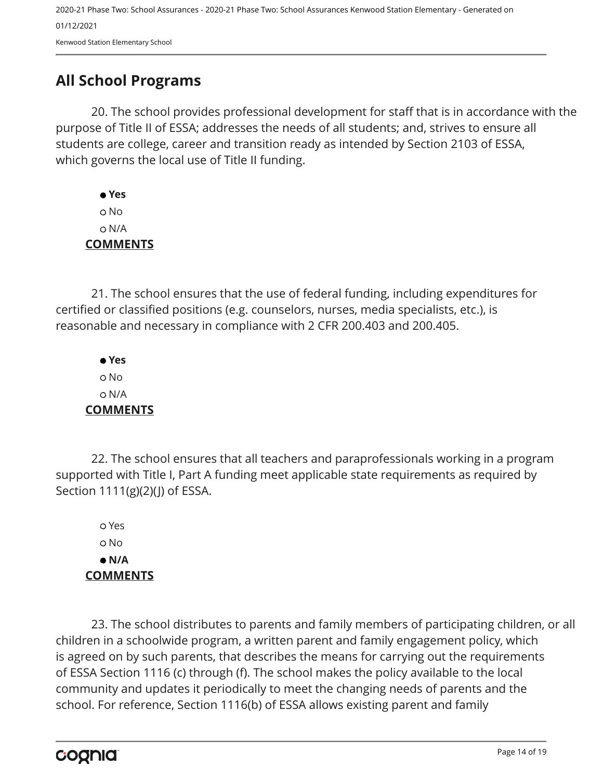## <span id="page-13-0"></span>**All School Programs**

20. The school provides professional development for staff that is in accordance with the purpose of Title II of ESSA; addresses the needs of all students; and, strives to ensure all students are college, career and transition ready as intended by Section 2103 of ESSA, which governs the local use of Title II funding.

 **Yes** No N/A **COMMENTS**

21. The school ensures that the use of federal funding, including expenditures for certified or classified positions (e.g. counselors, nurses, media specialists, etc.), is reasonable and necessary in compliance with 2 CFR 200.403 and 200.405.

 **Yes** No N/A **COMMENTS**

22. The school ensures that all teachers and paraprofessionals working in a program supported with Title I, Part A funding meet applicable state requirements as required by Section 1111(g)(2)(J) of ESSA.

 Yes No  **N/A COMMENTS**

23. The school distributes to parents and family members of participating children, or all children in a schoolwide program, a written parent and family engagement policy, which is agreed on by such parents, that describes the means for carrying out the requirements of ESSA Section 1116 (c) through (f). The school makes the policy available to the local community and updates it periodically to meet the changing needs of parents and the school. For reference, Section 1116(b) of ESSA allows existing parent and family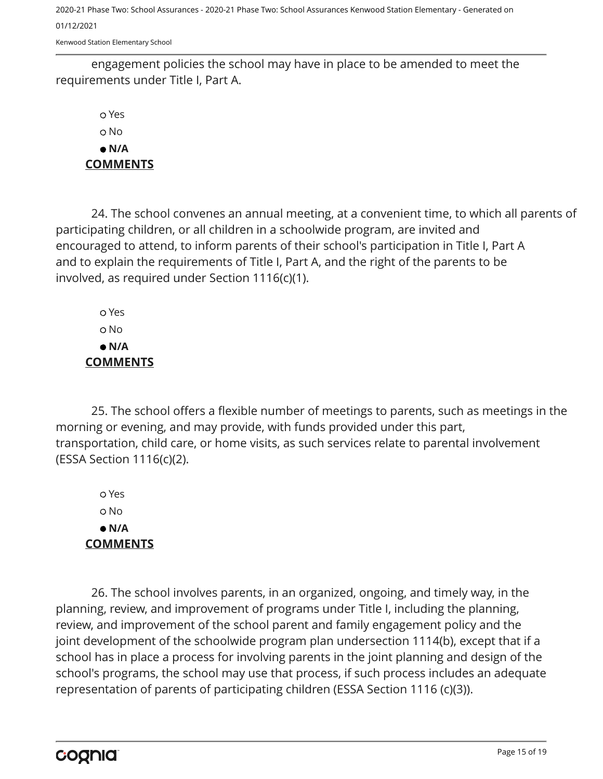Kenwood Station Elementary School

engagement policies the school may have in place to be amended to meet the requirements under Title I, Part A.

 Yes No  **N/A COMMENTS**

24. The school convenes an annual meeting, at a convenient time, to which all parents of participating children, or all children in a schoolwide program, are invited and encouraged to attend, to inform parents of their school's participation in Title I, Part A and to explain the requirements of Title I, Part A, and the right of the parents to be involved, as required under Section 1116(c)(1).

 Yes No  **N/A COMMENTS**

25. The school offers a flexible number of meetings to parents, such as meetings in the morning or evening, and may provide, with funds provided under this part, transportation, child care, or home visits, as such services relate to parental involvement (ESSA Section 1116(c)(2).

 Yes No  **N/A COMMENTS**

26. The school involves parents, in an organized, ongoing, and timely way, in the planning, review, and improvement of programs under Title I, including the planning, review, and improvement of the school parent and family engagement policy and the joint development of the schoolwide program plan undersection 1114(b), except that if a school has in place a process for involving parents in the joint planning and design of the school's programs, the school may use that process, if such process includes an adequate representation of parents of participating children (ESSA Section 1116 (c)(3)).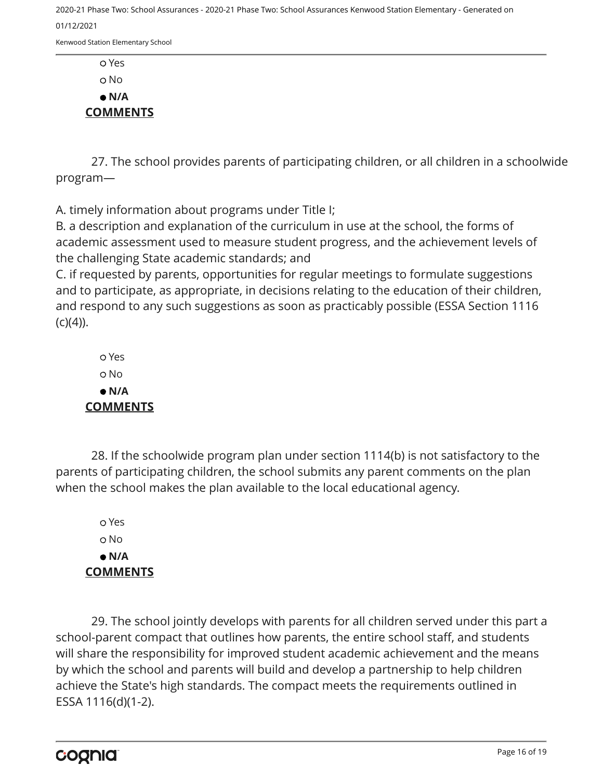Kenwood Station Elementary School

 Yes o No  **N/A COMMENTS**

27. The school provides parents of participating children, or all children in a schoolwide program—

A. timely information about programs under Title I;

B. a description and explanation of the curriculum in use at the school, the forms of academic assessment used to measure student progress, and the achievement levels of the challenging State academic standards; and

C. if requested by parents, opportunities for regular meetings to formulate suggestions and to participate, as appropriate, in decisions relating to the education of their children, and respond to any such suggestions as soon as practicably possible (ESSA Section 1116  $(C)(4)$ ).

 Yes No  **N/A COMMENTS**

28. If the schoolwide program plan under section 1114(b) is not satisfactory to the parents of participating children, the school submits any parent comments on the plan when the school makes the plan available to the local educational agency.

 Yes o No  **N/A COMMENTS**

29. The school jointly develops with parents for all children served under this part a school-parent compact that outlines how parents, the entire school staff, and students will share the responsibility for improved student academic achievement and the means by which the school and parents will build and develop a partnership to help children achieve the State's high standards. The compact meets the requirements outlined in ESSA 1116(d)(1-2).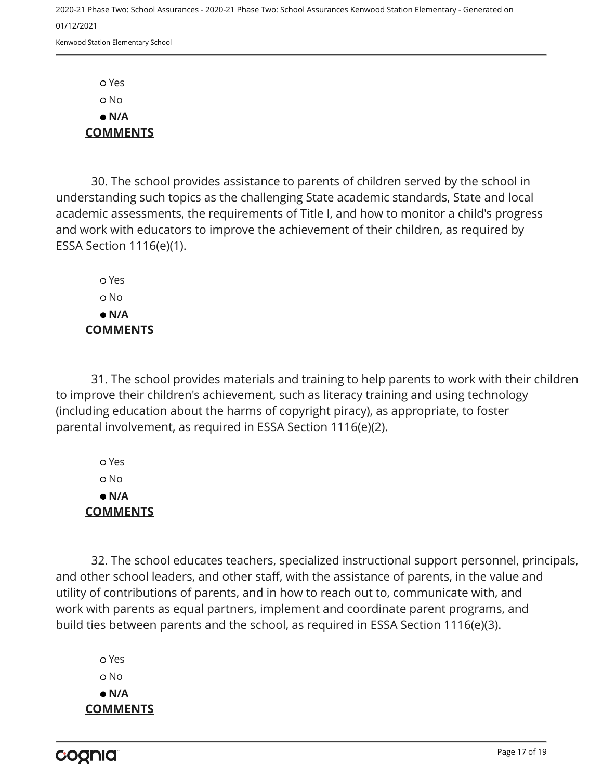Yes No  **N/A COMMENTS**

30. The school provides assistance to parents of children served by the school in understanding such topics as the challenging State academic standards, State and local academic assessments, the requirements of Title I, and how to monitor a child's progress and work with educators to improve the achievement of their children, as required by ESSA Section 1116(e)(1).

 Yes o No  **N/A COMMENTS**

31. The school provides materials and training to help parents to work with their children to improve their children's achievement, such as literacy training and using technology (including education about the harms of copyright piracy), as appropriate, to foster parental involvement, as required in ESSA Section 1116(e)(2).

 Yes No  **N/A COMMENTS**

32. The school educates teachers, specialized instructional support personnel, principals, and other school leaders, and other staff, with the assistance of parents, in the value and utility of contributions of parents, and in how to reach out to, communicate with, and work with parents as equal partners, implement and coordinate parent programs, and build ties between parents and the school, as required in ESSA Section 1116(e)(3).

 Yes o No  **N/A COMMENTS**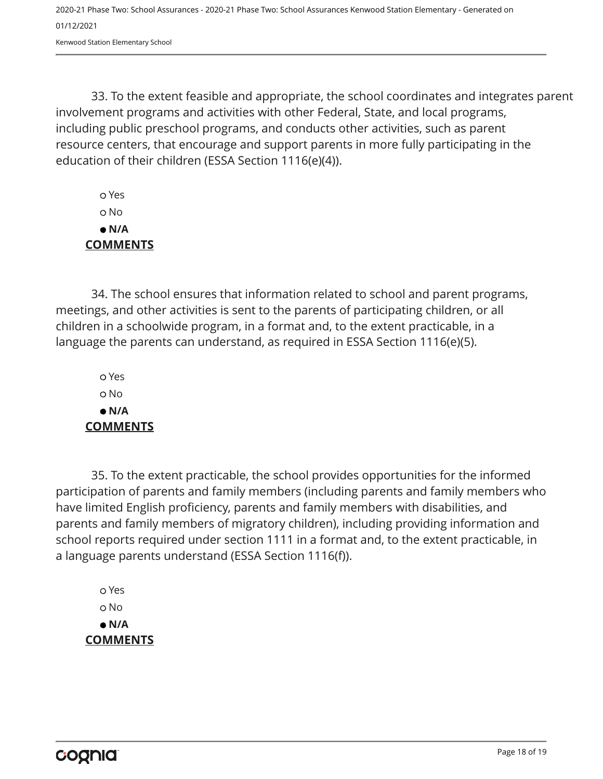Kenwood Station Elementary School

33. To the extent feasible and appropriate, the school coordinates and integrates parent involvement programs and activities with other Federal, State, and local programs, including public preschool programs, and conducts other activities, such as parent resource centers, that encourage and support parents in more fully participating in the education of their children (ESSA Section 1116(e)(4)).

 Yes No  **N/A COMMENTS**

34. The school ensures that information related to school and parent programs, meetings, and other activities is sent to the parents of participating children, or all children in a schoolwide program, in a format and, to the extent practicable, in a language the parents can understand, as required in ESSA Section 1116(e)(5).

 Yes o No  **N/A COMMENTS**

35. To the extent practicable, the school provides opportunities for the informed participation of parents and family members (including parents and family members who have limited English proficiency, parents and family members with disabilities, and parents and family members of migratory children), including providing information and school reports required under section 1111 in a format and, to the extent practicable, in a language parents understand (ESSA Section 1116(f)).

 Yes No  **N/A COMMENTS**